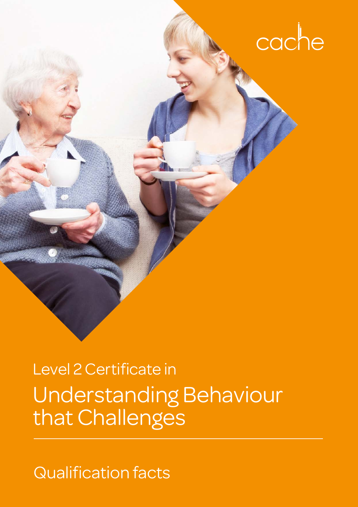

# Understanding Behaviour that Challenges Level 2 Certificate in

Qualification facts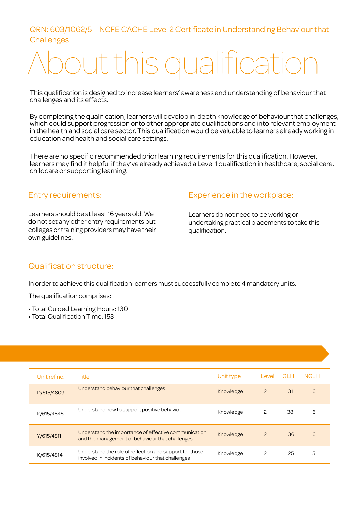# QRN: 603/1062/5 NCFE CACHE Level 2 Certificate in Understanding Behaviour that **Challenges**

# aut this qualification

This qualification is designed to increase learners' awareness and understanding of behaviour that challenges and its effects.

By completing the qualification, learners will develop in-depth knowledge of behaviour that challenges, which could support progression onto other appropriate qualifications and into relevant employment in the health and social care sector. This qualification would be valuable to learners already working in education and health and social care settings.

There are no specific recommended prior learning requirements for this qualification. However, learners may find it helpful if they've already achieved a Level 1 qualification in healthcare, social care, childcare or supporting learning.

#### Entry requirements:

Learners should be at least 16 years old. We do not set any other entry requirements but colleges or training providers may have their own guidelines.

# Experience in the workplace:

Learners do not need to be working or undertaking practical placements to take this qualification.

#### Qualification structure:

In order to achieve this qualification learners must successfully complete 4 mandatory units.

The qualification comprises:

- Total Guided Learning Hours: 130
- Total Qualification Time: 153

| Unit ref no. | Title                                                                                                         | Unit type | Level          | <b>GLH</b> | <b>NGLH</b> |
|--------------|---------------------------------------------------------------------------------------------------------------|-----------|----------------|------------|-------------|
| D/615/4809   | Understand behaviour that challenges                                                                          | Knowledge | $\overline{c}$ | 31         | 6           |
| K/615/4845   | Understand how to support positive behaviour                                                                  | Knowledge | 2              | 38         | 6           |
| Y/615/4811   | Understand the importance of effective communication<br>and the management of behaviour that challenges       | Knowledge | $\overline{c}$ | 36         | 6           |
| K/615/4814   | Understand the role of reflection and support for those<br>involved in incidents of behaviour that challenges | Knowledge | 2              | 25         | 5           |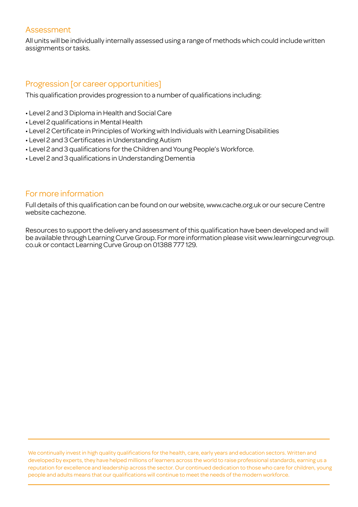#### Assessment

All units will be individually internally assessed using a range of methods which could include written assignments or tasks.

# Progression [or career opportunities]

This qualification provides progression to a number of qualifications including:

- Level 2 and 3 Diploma in Health and Social Care
- Level 2 qualifications in Mental Health
- Level 2 Certificate in Principles of Working with Individuals with Learning Disabilities
- Level 2 and 3 Certificates in Understanding Autism
- Level 2 and 3 qualifications for the Children and Young People's Workforce.
- Level 2 and 3 qualifications in Understanding Dementia

# For more information

Full details of this qualification can be found on our website, www.cache.org.uk or our secure Centre website cachezone.

Resources to support the delivery and assessment of this qualification have been developed and will be available through Learning Curve Group. For more information please visit www.learningcurvegroup. co.uk or contact Learning Curve Group on 01388 777 129.

We continually invest in high quality qualifications for the health, care, early years and education sectors. Written and developed by experts, they have helped millions of learners across the world to raise professional standards, earning us a reputation for excellence and leadership across the sector. Our continued dedication to those who care for children, young people and adults means that our qualifications will continue to meet the needs of the modern workforce.